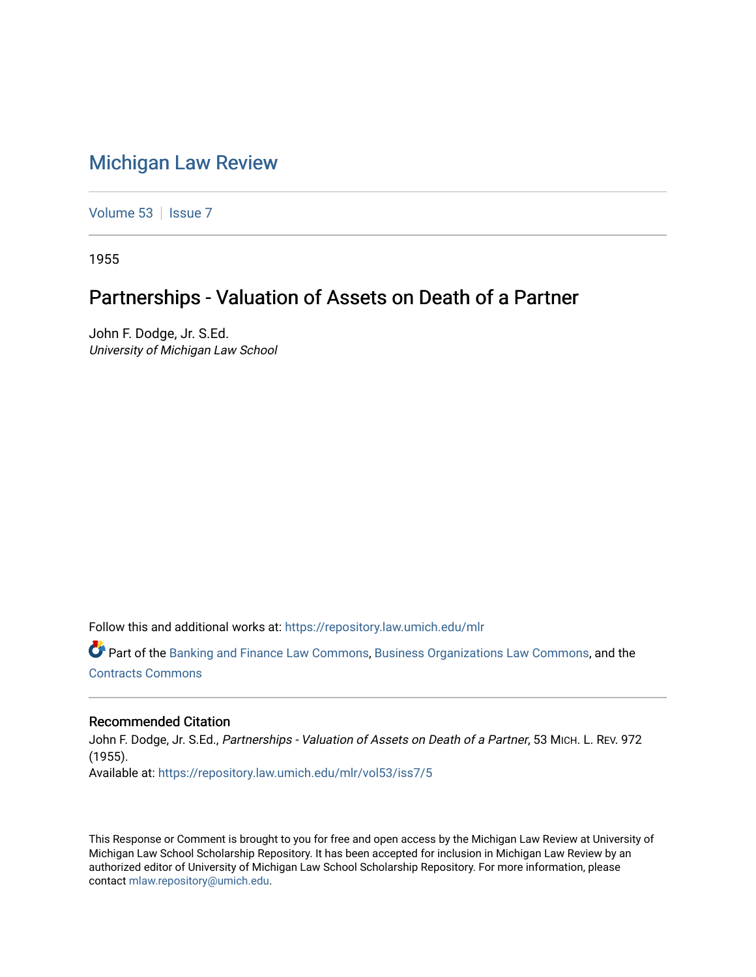# [Michigan Law Review](https://repository.law.umich.edu/mlr)

[Volume 53](https://repository.law.umich.edu/mlr/vol53) | [Issue 7](https://repository.law.umich.edu/mlr/vol53/iss7)

1955

# Partnerships - Valuation of Assets on Death of a Partner

John F. Dodge, Jr. S.Ed. University of Michigan Law School

Follow this and additional works at: [https://repository.law.umich.edu/mlr](https://repository.law.umich.edu/mlr?utm_source=repository.law.umich.edu%2Fmlr%2Fvol53%2Fiss7%2F5&utm_medium=PDF&utm_campaign=PDFCoverPages) 

Part of the [Banking and Finance Law Commons,](http://network.bepress.com/hgg/discipline/833?utm_source=repository.law.umich.edu%2Fmlr%2Fvol53%2Fiss7%2F5&utm_medium=PDF&utm_campaign=PDFCoverPages) [Business Organizations Law Commons](http://network.bepress.com/hgg/discipline/900?utm_source=repository.law.umich.edu%2Fmlr%2Fvol53%2Fiss7%2F5&utm_medium=PDF&utm_campaign=PDFCoverPages), and the [Contracts Commons](http://network.bepress.com/hgg/discipline/591?utm_source=repository.law.umich.edu%2Fmlr%2Fvol53%2Fiss7%2F5&utm_medium=PDF&utm_campaign=PDFCoverPages) 

### Recommended Citation

John F. Dodge, Jr. S.Ed., Partnerships - Valuation of Assets on Death of a Partner, 53 MICH. L. REV. 972 (1955). Available at: [https://repository.law.umich.edu/mlr/vol53/iss7/5](https://repository.law.umich.edu/mlr/vol53/iss7/5?utm_source=repository.law.umich.edu%2Fmlr%2Fvol53%2Fiss7%2F5&utm_medium=PDF&utm_campaign=PDFCoverPages)

This Response or Comment is brought to you for free and open access by the Michigan Law Review at University of Michigan Law School Scholarship Repository. It has been accepted for inclusion in Michigan Law Review by an authorized editor of University of Michigan Law School Scholarship Repository. For more information, please contact [mlaw.repository@umich.edu](mailto:mlaw.repository@umich.edu).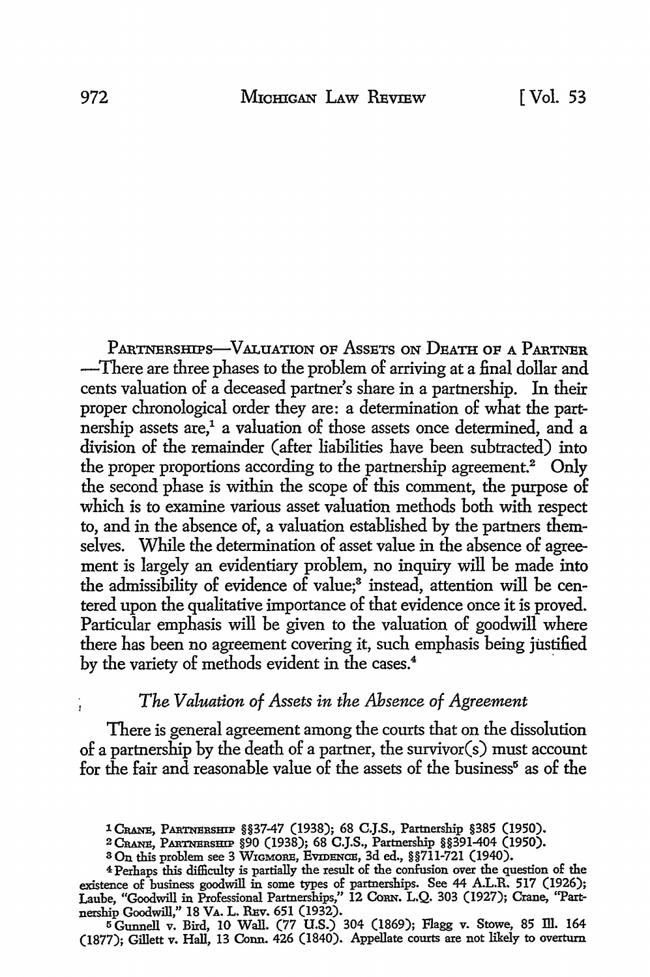PARTNERSHIPS-VALUATION OF ASSETS ON DEATH OF A PARTNER -There are three phases to the problem of arriving at a final dollar and cents valuation of a deceased partner's share in a partnership. In their proper chronological order they are: a determination of what the partnership assets are,<sup>1</sup> a valuation of those assets once determined, and a division of the remainder (after liabilities have been subtracted) into the proper proportions according to the partnership agreement.<sup>2</sup> Only the second phase is within the scope of this comment, the purpose of which is to examine various asset valuation methods both with respect to, and in the absence of, a valuation established by the partners themselves. While the determination of asset value in the absence of agreement is largely an evidentiary problem, no inquiry will be made into the admissibility of evidence of value;<sup>3</sup> instead, attention will be centered upon the qualitative importance of that evidence once it is proved. Particular emphasis will be given to the valuation of goodwill where there has been no agreement covering it, such emphasis being justified by the variety of methods evident in the cases.<sup>4</sup>

## *The Valuation of Assets in the Absence of Agreement*

There is general agreement among the courts that on the dissolution of a partnership by the death of a partner, the survivor(s) must account for the fair and reasonable value of the assets of the business<sup> $5$ </sup> as of the

(1877); Gillett v. Hall, 13 Conn. 426 (1840). Appellate courts are not likely to overturn

<sup>1</sup> CRANE, PARTNERSHIP §§37-47 (1938); 68 C.J.S., Partnership §385 (1950).

<sup>&</sup>lt;sup>2</sup> CRANE, PARTNERSHIP §90 (1938); 68 C.J.S., Partnership §§391-404 (1950).

<sup>8</sup> On this problem see 3 WIGMORE, EVIDENCE, 3d ed., §§711-721 (1940).

<sup>4</sup>Perhaps this difficulty is partially the result of the confusion over the question of the existence of business goodwill in some types of partnerships. See 44 A.L.R. 517 (1926); Laube, "Goodwill in Professional Partnerships,'' 12 CoRN. L.Q. 303 (1927); Crane, "Partnership Goodwill," 18 Va. L. R¤v. 651 (1932).<br>5 Gunnell v. Bird, 10 Wall. (77 U.S.) 304 (1869); Flagg v. Stowe, 85 Ill. 164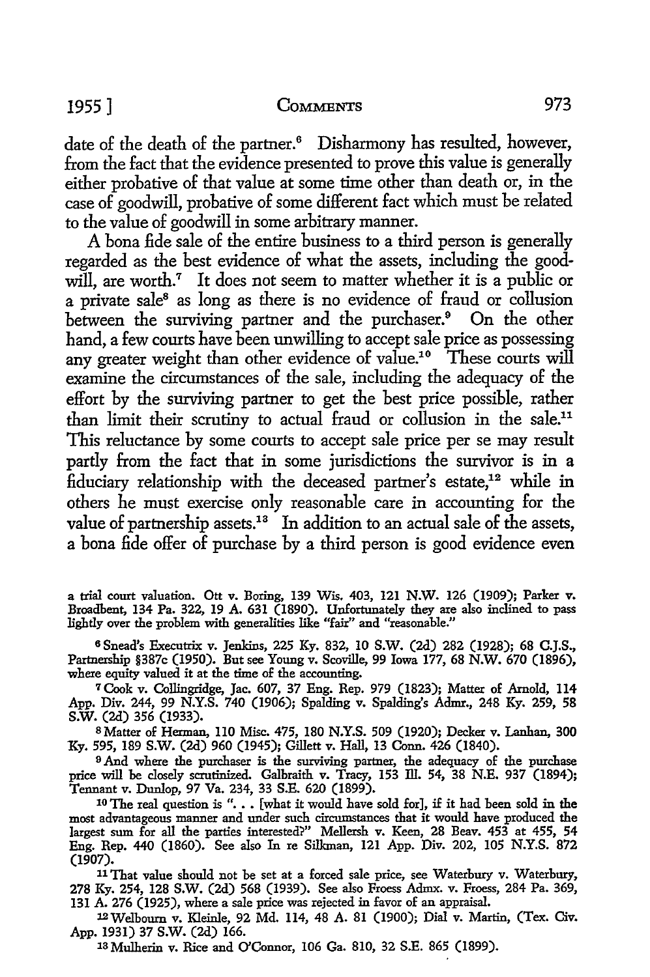date of the death of the partner.<sup>6</sup> Disharmony has resulted, however, from the fact that the evidence presented to prove this value is generally either probative of that value at some time other than death or, in the case of goodwill, probative of some different fact which must be related to the value of goodwill in some arbitrary manner.

A bona fide sale of the entire business to a third person is generally regarded as the best evidence of what the assets, including the goodwill, are worth.<sup>7</sup> It does not seem to matter whether it is a public or a private sale<sup>8</sup> as long as there is no evidence of fraud or collusion between the surviving partner and the purchaser.<sup>9</sup> On the other hand, a few courts have been unwilling to accept sale price as possessing any greater weight than other evidence of value.<sup>10</sup> These courts will examine the circumstances of the sale, including the adequacy of the effort by the surviving partner to get the best price possible, rather than limit their scrutiny to actual fraud or collusion in the sale.<sup>11</sup> This reluctance by some courts to accept sale price per se may result partly from the fact that in some jurisdictions the survivor is in a fiduciary relationship with the deceased partner's estate,<sup>12</sup> while in others he must exercise only reasonable care in accounting for the value of partnership assets.<sup>18</sup> In addition to an actual sale of the assets, a bona fide offer of purchase by a third person is good evidence even

a trial court valuation. Ott v. Boring, 139 Wis. 403, 121 N.W. 126 (1909); Parker v. Broadbent, 134 Pa. 322, 19 A. 631 (1890). Unfortunately they are also inclined to pass lightly over the problem with generalities like "fair" and "reasonable."

<sup>6</sup>Snead's Executrix v. Jenkins, 225 Ky. 832, 10 S.W. (2d) 282 (1928); 68 C.J.S., Partnership §387c (1950). But see Young v. Scoville, 99 Iowa 177, 68 N.W. 670 (1896), where equity valued it at the time of the accounting.

<sup>7</sup>Cook v. Collingridge, Jae. 607, 37 Eng. Rep. 979 (1823); Matter of Arnold, 114 App. Div. 244, 99 N.Y.S. 740 (1906); Spalding v. Spalding's Admr., 248 Ky. 259, 58 s.w. (2d) 356 (1933).

s Matter of Herman, 110 Misc. 475, 180 N.Y.S. 509 (1920); Decker v. Lanhan, 300 Ky. 595, 189 S.W. (2d) 960 (1945); Gillett v. Hall, 13 Conn. 426 (1840).

<sup>9</sup> And where the purchaser is the surviving partner, the adequacy of the purchase price will be closely scrutinized. Galbraith v. Tracy, 153 III. 54, 38 N.E. 937 (1894); Tennant v. Dunlop, 97 Va. 234, 33 S.E. 620 (1899).

 $10$  The real question is "... [what it would have sold for], if it had been sold in the most advantageous manner and under such circumstances that it would have produced the largest sum for all the parties interested?" Mellersh v. Keen, 28 Beav. 453 at 455, 54 Eng. Rep. 440 (1860). See also In re Silkman, 121 App. Div. 202, 105 N.Y.S. 872 (1907).

<sup>11</sup>That value should not be set at a forced sale price, see Waterbury v. Waterbury, 278 Ky. 254, 128 S.W. (2d) 568 (1939). See also Froess Admx. v. Froess, 284 Pa. 369, 131 A. 276 (1925), where a sale price was rejected in favor of an appraisal.

12Welboum v. Kleinle, 92 Md. 114, 48 A. 81 (1900); Dial v. Martin, (Tex. Civ. App. 1931) 37 S.W. (2d) 166.

18 Mulherin v. Rice and O'Connor, 106 Ga. 810, 32 S.E. 865 (1899).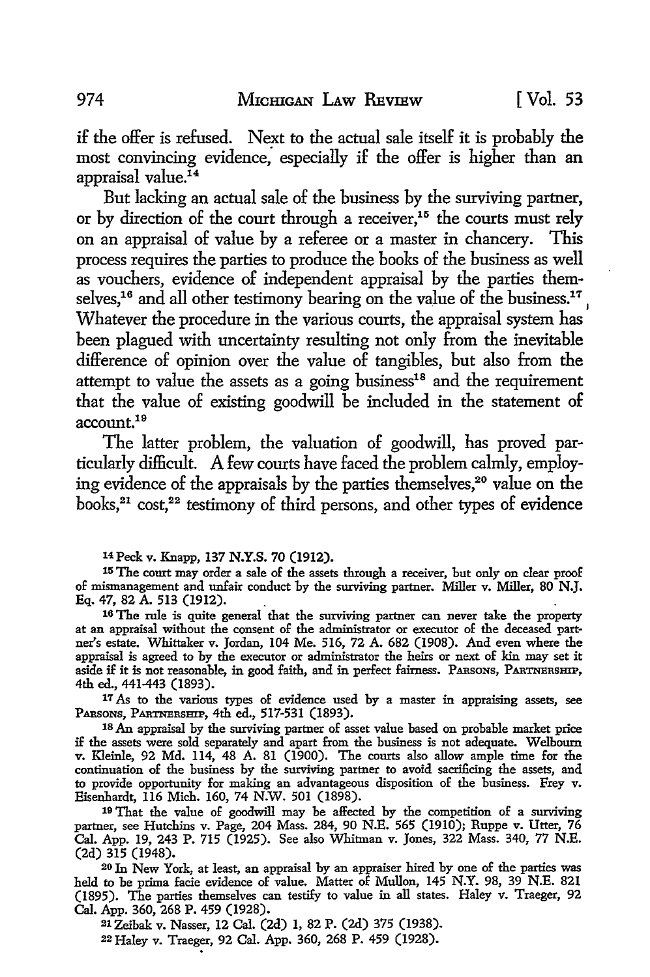if the offer is refused. Next to the actual sale itself it is probably the most convincing evidence; especially if the offer is higher than an appraisal value.<sup>14</sup>

But lacking an actual sale of the business by the surviving partner, or by direction of the court through a receiver,<sup>15</sup> the courts must rely on an appraisal of value by a referee or a master in chancery. This process requires the parties to produce the books of the business as well as vouchers, evidence of independent appraisal by the parties themselves,<sup>16</sup> and all other testimony bearing on the value of the business.<sup>17</sup>, Whatever the procedure in the various courts, the appraisal system has been plagued with uncertainty resulting not only from the inevitable difference of opinion over the value of tangibles, but also from the attempt to value the assets as a going business $18$  and the requirement that the value of existing goodwill be included in the statement of account.<sup>19</sup>

The latter problem, the valuation of goodwill, has proved particularly difficult. A few courts have faced the problem calmly, employing evidence of the appraisals by the parties themselves,<sup>20</sup> value on the books, $21$  cost, $22$  testimony of third persons, and other types of evidence

14 Peck v. Knapp, 137 **N.Y.S.** 70 (1912).

15 The court may order a sale of the assets through a receiver, but only on clear proof of mismanagement and unfair conduct by the surviving partner. Miller v. Miller, 80 **N.J.**  Eq. 47, 82 A. 513 (1912).

16 The rule is quite general that the surviving partner can never take the property at an appraisal without the consent of the administrator or executor of the deceased partner's estate. Whittaker v. Jordan, 104 Me. 516, 72 A. 682 (1908). And even where the appraisal is agreed to by the executor or administrator the heirs or next of kin may set it aside if it is not reasonable, in good faith, and in perfect fairness. PARSONS, PARTNERSHIP, 4th ed., 441-443 (1893).

<sup>17</sup> As to the various types of evidence used by a master in appraising assets, see PARSONS, PARTNERSHIP, 4th ed., 517-531 (1893).

18 An appraisal by the surviving partner of asset value based on probable market price if the assets were sold separately and apart from the business is not adequate. Welbourn v. Kleinle, 92 Md. 114, 48 A. 81 (1900). The courts also allow ample time for the continuation of the business by the surviving partner to avoid sacrificing the assets, and to provide opportunity for making an advantageous disposition of the business. Frey v. Eisenhardt, 116 Mich. 160, 74 N.W. 501 (1898).

19 That the value of goodwill may be affected by the competition of a surviving partner, see Hutchins v. Page, 204 Mass. 284, 90 N.E. 565 (1910); Ruppe v. Utter, 76 Cal. App. 19, 243 P. 715 (1925). See also Whitman v. Jones, 322 Mass. 340, 77 N.E. (2d) 315 (1948).

20 In New York, at least, an appraisal by an appraiser hired by one of the parties was held to be prima facie evidence of value. Matter of Mullen, 145 N.Y. 98, 39 N.E. 821 (1895). The parties themselves can testify to value in all states. Haley v. Traeger, 92 Cal. App. 360, 268 P. 459 (1928).

21 Zeibak v. Nasser, 12 Cal. (2d) 1, 82 P. (2d) 375 (1938). 22 Haley v. Traeger, 92 Cal. App. 360, 268 P. 459 (1928).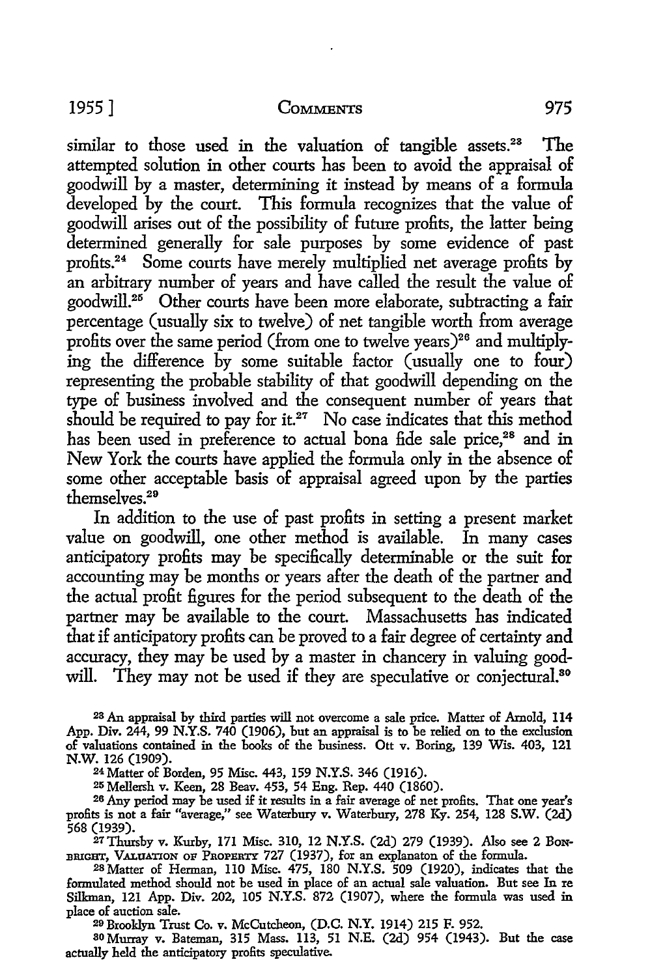similar to those used in the valuation of tangible assets.<sup>28</sup> The attempted solution in other courts has been to avoid the appraisal of goodwill by a master, determining it instead by means of a formula developed by the court. This formula recognizes that the value of goodwill arises out of the possibility of future profits, the latter being determined generally for sale purposes by some evidence of past profits. 24 Some courts have merely multiplied net average profits by an arbitrary number of years and have called the result the value of goodwill.<sup>25</sup> Other courts have been more elaborate, subtracting a fair percentage (usually six to twelve) of net tangible worth from average profits over the same period (from one to twelve years)<sup>26</sup> and multiplying the difference by some suitable factor (usually one to four) representing the probable stability of that goodwill depending on the type of business involved and the consequent number of years that should be required to pay for it.<sup>27</sup> No case indicates that this method has been used in preference to actual bona fide sale price,<sup>28</sup> and in New York the courts have applied the formula only in the absence of some other acceptable basis of appraisal agreed upon by the parties themselves. 29

In addition to the use of past profits in setting a present market value on goodwill, one other method is available. In many cases anticipatory profits may be specifically determinable or the suit for accounting may be months or years after the death of the partner and the actual profit figures for the period subsequent to the death of the partner may be available to the court. Massachusetts has indicated that if anticipatory profits can be proved to a fair degree of certainty and accuracy, they may be used by a master in chancery in valuing goodwill. They may not be used if they are speculative or conjectural.<sup>80</sup>

28 An appraisal by third parties will not overcome a sale price. Matter of Arnold, 114 App. Div. 244, 99 N.Y.S. 740 (1906), but an appraisal is to be relied on to the exclusion of valuations contained in the books of the business. Ott v. Boring, 139 Wis. 403, 121 N.W. 126 (1909).

24 Matter of Borden, 95 Misc. 443, 159 N.Y.S. 346 (1916).

<sup>25</sup> Mellersh v. Keen, 28 Beav. 453, 54 Eng. Rep. 440 (1860).<br><sup>26</sup> Any period may be used if it results in a fair average of net profits. That one year's profits is not a fair "average," see Waterbury v. Waterbury, 278 Ky. 254, 128 S.W. (2d) 568 (1939).

27Thursby v. Kurby, 171 Misc. 310, 12 N.Y.S. (2d) 279 (1939). Also see 2 BoN-BRIGHT, VALUATION OF PROPERTY 727 (1937), for an explanaton of the formula.

28 Matter of Herman, 110 Misc. 475, 180 N.Y.S. 509 (1920), indicates that the formulated method should not be used in place of an actual sale valuation. But see In re Sillanan, 121 App. Div. 202, 105 N.Y.S. 872 (1907), where the formula was used in place of auction sale.

20 Brooklyn Trust Co. v. McCutcheon, (D.C. N.Y. 1914) 215 F. 952.

30 Murray v. Bateman, 315 Mass. 113, 51 N.E. (2d) 954 (1943). But the case actually held the anticipatory profits speculative.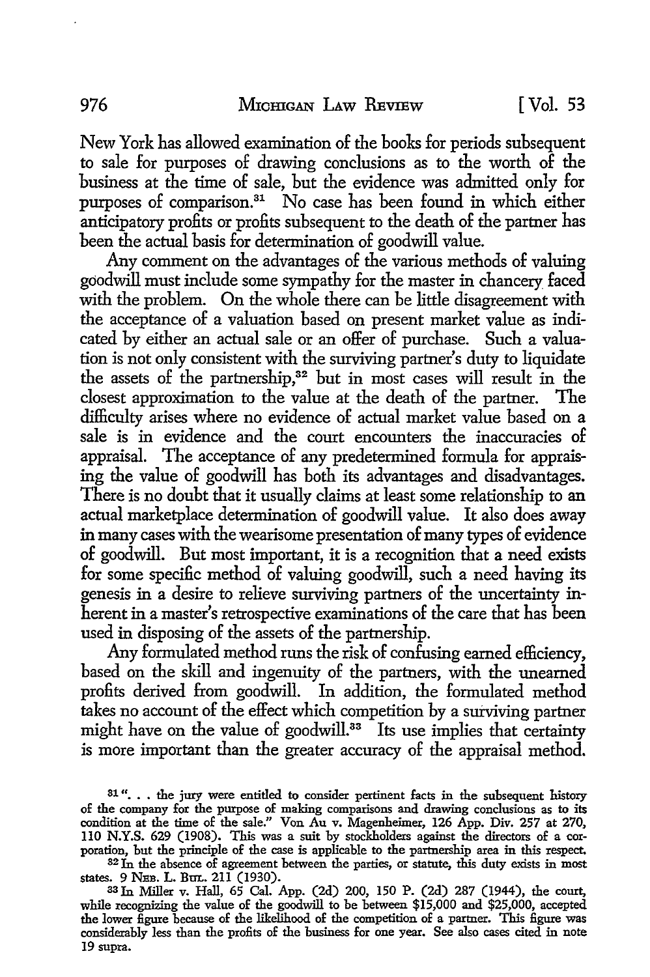New York has allowed examination of the books for periods subsequent to sale for purposes of drawing conclusions as to the worth of the business at the time of sale, but the evidence was admitted only for purposes of comparison.<sup>31</sup> No case has been found in which either anticipatory profits or profits subsequent to the death of the partner has been the actual basis for determination of goodwill value.

Any comment on the advantages of the various methods of valuing goodwill must include some sympathy for the master in chancery faced with the problem. On the whole there can be little disagreement with the acceptance of a valuation based on present market value as indicated by either an actual sale or an offer of purchase. Such a valuation is not only consistent with the surviving partner's duty *to* liquidate the assets of the partnership,<sup>32</sup> but in most cases will result in the closest approximation to the value at the death of the partner. The difficulty arises where no evidence of actual market value based on a sale is in evidence and the court encounters the inaccuracies of appraisal. The acceptance of any predetermined formula for appraising the value of goodwill has both its advantages and disadvantages. There is no doubt that it usually claims at least some relationship to an actual marketplace determination of goodwill value. It also does away in many cases with the wearisome presentation of many types of evidence of goodwill. But most important, it is a recognition that a need exists for some specific method of valuing goodwill, such a need having its genesis in a desire *to* relieve surviving partners of the uncertainty inherent in a master's retrospective examinations of the care that has been used in disposing of the assets of the partnership.

Any formulated method runs the risk of confusing earned efficiency, based on the skill and ingenuity of the partners, with the unearned profits derived from goodwill. In addition, the formulated method takes no account of the effect which competition by a surviving partner might have on the value of goodwill.<sup>33</sup> Its use implies that certainty is more important than the greater accuracy of the appraisal method.

<sup>32</sup>In the absence of agreement between the parties, or statute, this duty exists in most states. 9 NEB. L. BuL. 211 (1930).

as In Miller v. Hall, 65 Cal. App. (2d) 200, 150 P. (2d) 287 (1944), the court, while recognizing the value of the goodwill to be between \$15,000 and \$25,000, accepted the lower figure because of the likelihood of the competition of a partner. This figure was considerably less than the profits of the business for one year. See also cases cited in note 19 supra.

<sup>31&</sup>quot;... the jury were entitled to consider pertinent facts in the subsequent history of the company for the purpose of making comparisons and drawing conclusions as to its condition at the time of the sale." Von Au v. Magenheimer, 126 App. Div. 257 at 270, ll0 **N.Y.S.** 629 (1908). This was a suit by stockholders against the directors of a corporation, but the principle of the case is applicable to the partnership area in this respect.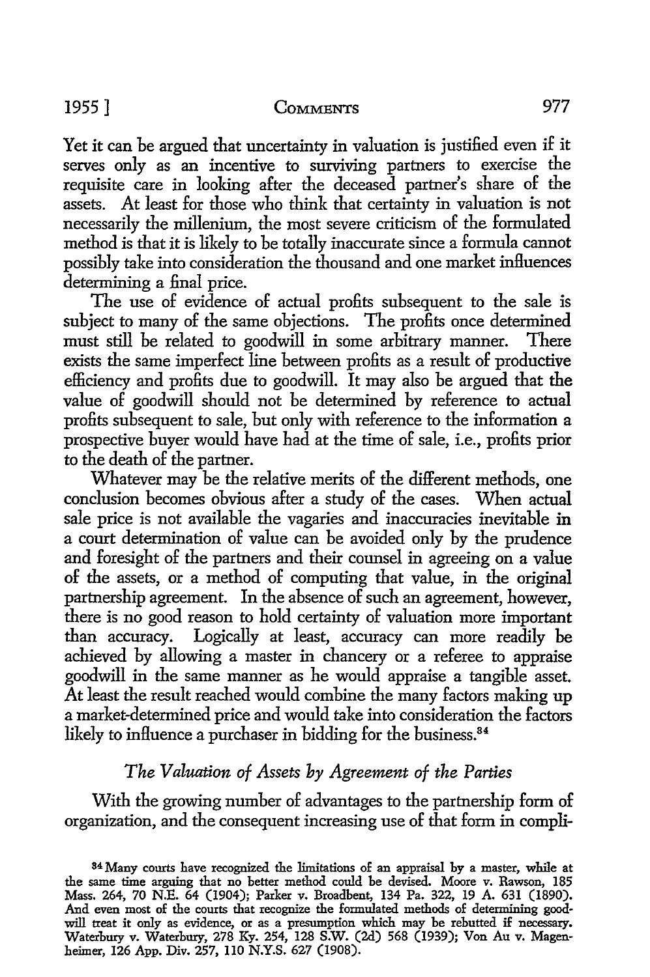Yet it can be argued that uncertainty in valuation is justified even if it serves only as an incentive to surviving partners to exercise the requisite care in looking after the deceased partner's share of the assets. At least for those who think that certainty in valuation is not necessarily the millenium, the most severe criticism of the formulated method is that it is likely to be totally inaccurate since a formula cannot possibly take into consideration the thousand and one market influences determining a final price.

The use of evidence of actual profits subsequent to the sale is subject to many of the same objections. The profits once determined must still be related to goodwill in some arbitrary manner. There exists the same imperfect line between profits as a result of productive efficiency and profits due to goodwill. It may also be argued that the value of goodwill should not be determined by reference to actual profits subsequent *to* sale, but only with reference to the information a prospective buyer would have had at the time of sale, i.e., profits prior to the death of the partner.

Whatever may be the relative merits of the different methods, one conclusion becomes obvious after a study of the cases. When actual sale price is not available the vagaries and inaccuracies inevitable in a court determination of value can be avoided only by the prudence and foresight of the partners and their counsel in agreeing on a value of the assets, or a method of computing that value, in the original partnership agreement. In the absence of such an agreement, however, there is no good reason to hold certainty of valuation more important than accuracy. Logically at least, accuracy can more readily be achieved by allowing a master in chancery or a referee to appraise goodwill in the same manner as he would appraise a tangible asset. At least the result reached would combine the many factors making up a market-determined price and would take into consideration the factors likely to influence a purchaser in bidding for the business.<sup>84</sup>

### *The Valuation of Assets by Agreement of the Parties*

With the growing number of advantages to the partnership form of organization, and the consequent increasing use of that form in compli-

<sup>84</sup>Many courts have recognized the limitations of an appraisal by a master, while at the same time arguing that no better method could be devised. Moore v. Rawson, 185 Mass. 264, 70 N.E. 64 (1904); Parker v. Broadbent, 134 Pa. 322, 19 A. 631 (1890). And even most of the courts that recognize the formulated methods of determining goodwill treat it only as evidence, or as a presumption which may be rebutted if necessary. Waterbury v. Waterbury, 278 Ky. 254, 128 S.W. (2d) 568 (1939); Von Au v. Magenheimer, 126 App. Div. 257, 110 N.Y.S. 627 (1908).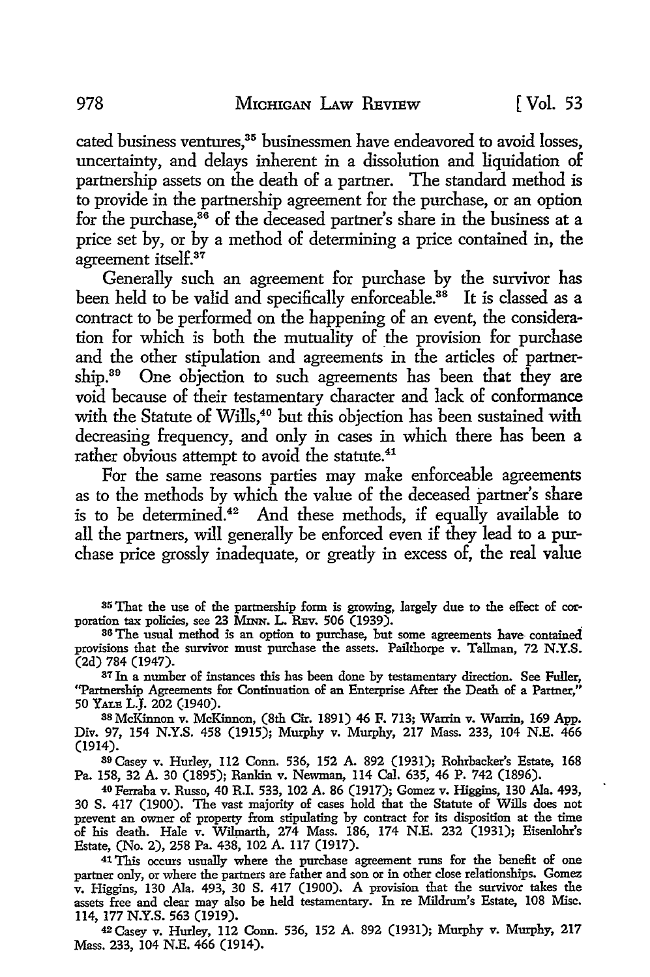cated business ventures,<sup>35</sup> businessmen have endeavored to avoid losses, uncertainty, and delays inherent in a dissolution and liquidation of partnership assets on the death of a partner. The standard method is to provide in the partnership agreement for the purchase, or an option for the purchase, $36$  of the deceased partner's share in the business at a price set by, or by a method of determining a price contained in, the agreement itself.<sup>37</sup>

Generally such an agreement for purchase by the survivor has been held to be valid and specifically enforceable.<sup>38</sup> It is classed as a contract to be performed on the happening of an event, the consideration for which is both the mutuality of the provision for purchase and the other stipulation and agreements in the articles of partnership.<sup>39</sup> One objection to such agreements has been that they are void because of their testamentary character and lack of conformance with the Statute of Wills,<sup>40</sup> but this objection has been sustained with decreasing frequency, and only in cases in which there has been a rather obvious attempt to avoid the statute.<sup>41</sup>

For the same reasons parties may make enforceable agreements as to the methods by which the value of the deceased partner's share is to be determined.<sup>42</sup> And these methods, if equally available to all the partners, will generally be enforced even if they lead to a purchase price grossly inadequate, or greatly in excess of, the real value

35 That the use of the partnership form is growing, largely due to the effect of cor poration tax policies, see 23 MINN. L. REV. 506  $(1939)$ .

<sup>37</sup> In a number of instances this has been done by testamentary direction. See Fuller, ''Partnership Agreements for Continuation of an Enterprise After the Death of a Partner," 50 YALE L.J. 202 (1940).

3s McKinnon v. McKinnon, (8th Cir. 1891) 46 F. 713; Warrin v. Warrin, 169 App. Div. 97, 154 N.Y.S. 458 (1915); Murphy v. Murphy, 217 Mass. 233, 104 N.E. 466 (1914).

39 Casey v. Hurley, 112 Conn. 536, 152 A. 892 (1931); Rohrbacker's Estate, 168 Pa. 158, 32 A. 30 (1895); Rankin v. Newman, 114 Cal. 635, 46 P. 742 (1896).

40Ferraba v. Russo, 40 R.I. 533, 102 A. 86 (1917); Gomez v. Higgins, 130 Ala. 493, 30 S. 417 (1900). The vast majority of cases hold that the Statute of Wills does not prevent an owner of property from stipulating by contract for its disposition at the time of his death. Hale v. W:ilinarth, 274 Mass. 186, 174 N.E. 232 (1931); Eisenlohr's Estate, (No. 2), 258 Pa. 438, 102 A. 117 (1917).

41 This occurs usually where the purchase agreement runs for the benefit of one partner only, or where the partners are father and son or in other close relationships. Gomez v. Higgins, 130 Ala. 493, 30 S. 417 (1900). A provision that the survivor takes the assets free and clear may also be held testamentary. In re Mildrum's Estate, 108 Misc. 114, 177 N.Y.S. 563 (1919).

42Casey v. Hurley, 112 Conn. 536, 152 A. 892 (1931); Murphy v. Murphy, 217 Mass. 233, 104 N.E. 466 (1914).

<sup>&</sup>lt;sup>86</sup> The usual method is an option to purchase, but some agreements have-contained provisions that the survivor must purchase the assets. Pailthorpe v. Tallman, 72 **N.Y.S.**  (2d) 784 (1947).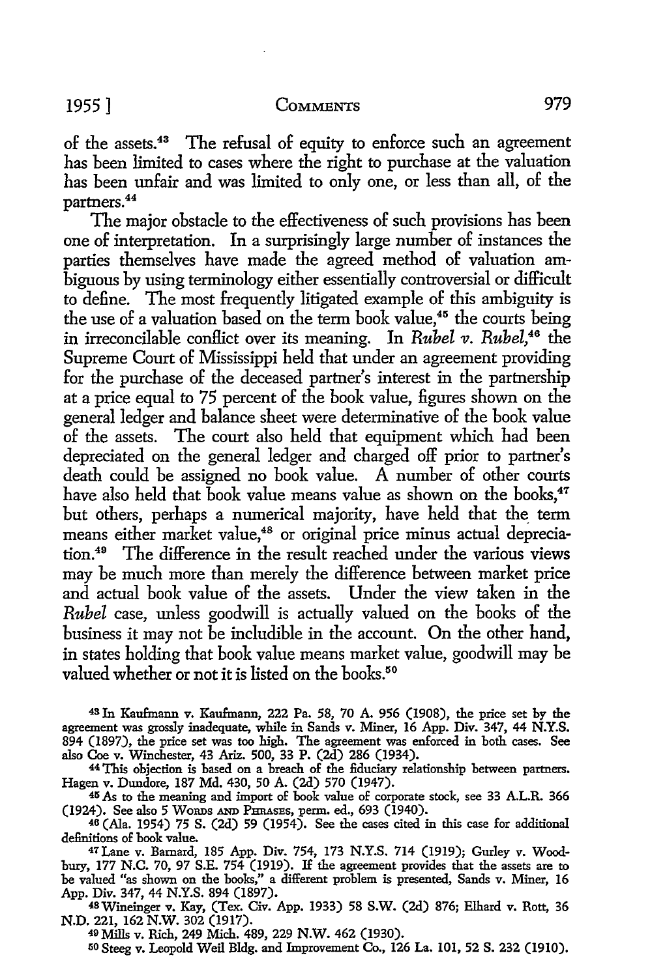of the assets.43 The refusal of equity to enforce such an agreement has been limited to cases where the right to purchase at the valuation has been unfair and was limited to only one, or less than all, of the partners. 44

The major obstacle to the effectiveness of such provisions has been one of interpretation. In a surprisingly large number of instances the parties themselves have made the agreed method of valuation ambiguous by using terminology either essentially controversial or difficult to define. The most frequently litigated example of this ambiguity is the use of a valuation based on the term book value,<sup>45</sup> the courts being in irreconcilable conflict over its meaning. In *Rubel v. Rubel*,<sup>46</sup> the Supreme Court of Mississippi held that under an agreement providing for the purchase of the deceased partner's interest in the partnership at a price equal to 75 percent of the book value, figures shown on the general ledger and balance sheet were determinative of the book value of the assets. The court also held that equipment which had been depreciated on the general ledger and charged off prior to partner's death could be assigned no book value. A number of other courts have also held that book value means value as shown on the books,<sup>47</sup> but others, perhaps a numerical majority, have held that the\_ term means either market value,<sup>48</sup> or original price minus actual depreciation.49 The difference in the result reached under the various views may be much more than merely the difference between market price and actual book value of the assets. Under the view taken in the *Rubel* case, unless goodwill is actually valued on the books of the business it may not be includible in the account. On the other hand, in states holding that book value means market value, goodwill may be valued whether or not it is listed on the books.<sup>50</sup>

43 In Kaufmann v. Kaufmann, 222 Pa. 58, 70 A. 956 (1908), the price set by the agreement was grossly inadequate, while in Sands v. Miner, 16 App. Div. 347, 44 **N.Y.S.**  894 (1897), the price set was too high. The agreement was enforced in both cases. See also Coe v. Winchester, 43 Ariz. 500, 33 P. (2d) 286 (1934).

44 This objection is based on a breach of the fiduciary relationship between partners. Hagen v. Dundore, 187 Md. 430, 50 A. (2d) 570 (1947).

45 As to the meaning and import of book value of corporate stock, see 33 A.L.R. 366 (1924). See also 5 WoRDs AND PHRAsEs, perm. ed., 693 (1940).

46 (Ala. 1954) 75 S. (2d) 59 (1954). See the cases cited in this case for additional definitions of book value.

47Lane v. Barnard, 185 App. Div. 754, 173 N.Y.S. 714 (1919); Gurley v. Woodbury, 177 N.C. 70, 97 S.E. 754 (1919). If the agreement provides that the assets are to be valued "as shown on the books," a different problem is presented, Sands v. Miner, 16 App. Div. 347, 44 N.Y.S. 894 (1897).

4BWineinger v. Kay, (Tex. Civ. App. 1933) 58 **S.W.** (2d) 876; Elhard v. Rott, 36 **N.D.** 221, 162 **N.W.** 302 (1917).

49 Mills v. Rich, 249 Mich. 489, 229 **N.W.** 462 (1930).

50 Steeg v. Leopold Weil Bldg. and Improvement Co., 126 La. 101, 52 S. 232 (1910).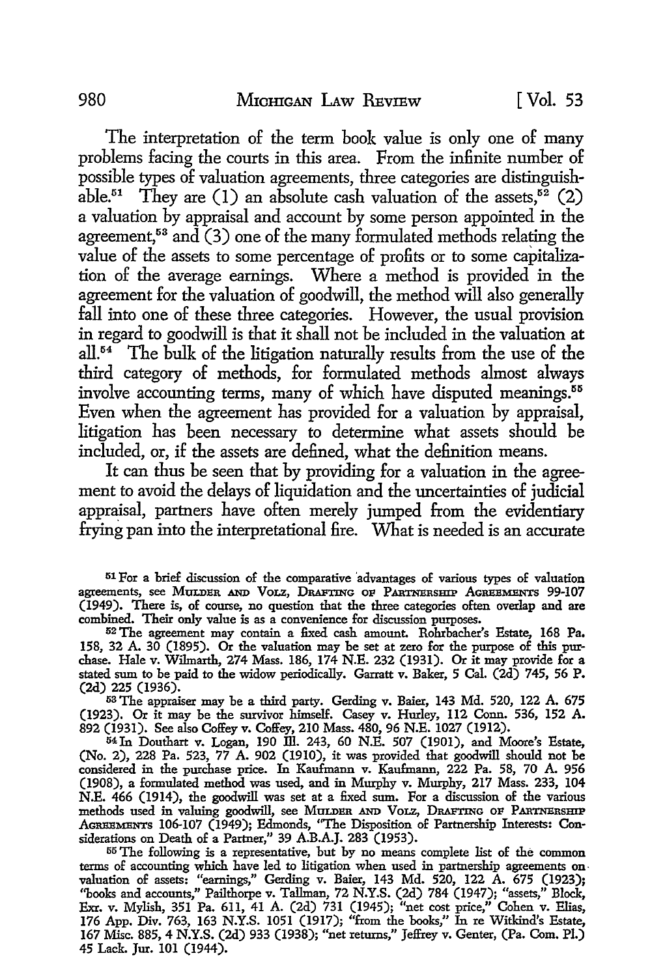The interpretation of the term book value is only one of many problems facing the courts in this area. From the infinite number of possible types of valuation agreements, three categories are distinguishable.<sup>51</sup> They are (1) an absolute cash valuation of the assets,<sup>52</sup> (2) a valuation by appraisal and account by some person appointed in the agreement,<sup>53</sup> and  $(3)$  one of the many formulated methods relating the value of the assets to some percentage of profits or to some capitalization of the average earnings. Where a method is provided in the agreement for the valuation of goodwill, the method will also generally fall into one of these three categories. However, the usual provision in regard to goodwill is that it shall not be included in the valuation at  $all. <sup>54</sup>$  The bulk of the litigation naturally results from the use of the third category of methods, for formulated methods almost always involve accounting terms, many of which have disputed meanings.<sup>55</sup> Even when the agreement has provided for a valuation by appraisal, litigation has been necessary to determine what assets should be included, or, if the assets are defined, what the definition means.

It can thus be seen that by providing for a valuation in the agreement to avoid the delays of liquidation and the uncertainties of judicial appraisal, partners have often merely jumped from the evidentiary frying pan into the interpretational fire. What is needed is an accurate

53 The appraiser may be a third party. Gerding v. Baier, 143 Md. 520, 122 A. 675 (1923). Or it may be the survivor himself. Casey v. Hurley, 112 Conn. 536, 152 A. 892 (1931). See also Coffey v. Coffey, 210 Mass. 480, 96 N.E. 1027 (1912).

54 Jn Douthart v. Logan, 190 ill. 243, 60 N.E. 507 (1901), and Moore's Estate, (No. 2), 228 Pa. 523, 77 A. 902 (1910), it was provided that goodwill should not be considered in the purchase price. In Kaufmann v. Kaufmann, 222 Pa. 58, 70 A. 956 (1908), a formulated method was used, and in Murphy v. Murphy, 217 Mass. 233, 104 N.E. 466 (1914), the goodwill was set at a fixed sum. For a discussion of the various methods used in valuing goodwill, see MULDER AND VOLZ, DRAFTING OF PARTNERSHIP AGREEMENTS 106-107 (1949); Edmonds, "The Disposition of Partnership Interests: Considerations on Death of a Partner," 39 A.B.A.J. 283 (1953).

55 The following is a representative, but by no means complete list of the common terms of accounting which have led to litigation when used in partnership agreements on valuation of assets: "earnings," Gerding v. Baier, 143 Md. 520, 122 A. 675 (1923); ''books and accounts," Pailthorpe v. Tallman, 72 N.Y.S. (2d) 784 (1947); "assets," Block, Exr. v. Mylish, 351 Pa. 611, 41 A. (2d) 731 (1945); "net cost price," Cohen v. Elias, 176 App. Div. 763, 163 N.Y.S. 1051 (1917); ''from the books," In re Witkind's Estate, 167 Misc. 885, 4 N.Y.S. (2d) 933 (1938); "net returns,'' Jeffrey v. Genter, (Pa. Com. Pl.) 45 Lack. Jur. 101 (1944).

<sup>51</sup> For a brief discussion of the comparative 'advantages of various types of valuation agreements, see MULDER AND VOLZ, DRAFTING OF PARTNERSHIP AGREEMENTS 99-107 (1949). There is, of course, no question that the three categories often overlap and are combined. Their only value is as a convenience for discussion purposes.

<sup>52</sup> The agreement may contain a fixed cash amount. Rohrbacher's Estate, 168 Pa. 158, 32 A. 30 (1895). Or the valuation may be set at zero for the purpose of this purchase. Hale v. Wilmarth, 274 Mass. 186, 174 N.E. 232 (1931). Or it may provide for a stated sum to be paid to the widow periodically. Garratt v. Baker, 5 Cal. (2d) 745, 56 P. (2d) 225 (1936).